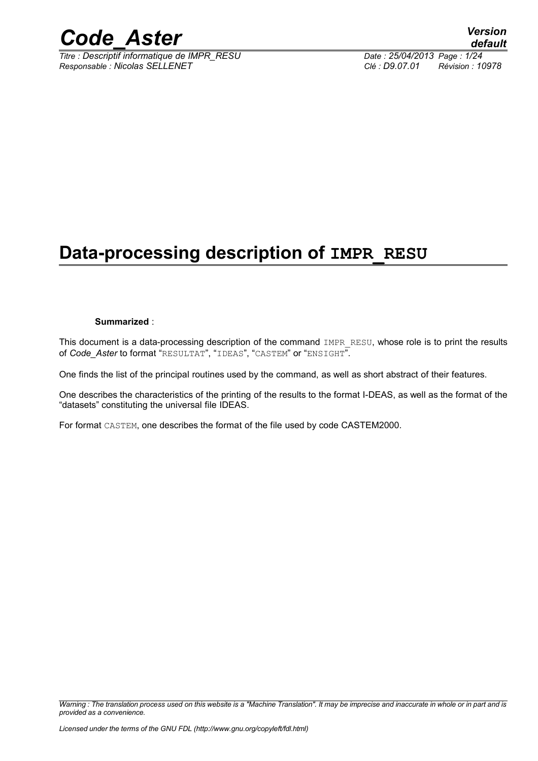

*Titre : Descriptif informatique de IMPR\_RESU Date : 25/04/2013 Page : 1/24 Responsable : Nicolas SELLENET Clé : D9.07.01 Révision : 10978*

## **Data-processing description of IMPR\_RESU**

#### **Summarized** :

This document is a data-processing description of the command IMPR RESU, whose role is to print the results of *Code\_Aster* to format "RESULTAT", "IDEAS", "CASTEM" or "ENSIGHT".

One finds the list of the principal routines used by the command, as well as short abstract of their features.

One describes the characteristics of the printing of the results to the format I-DEAS, as well as the format of the "datasets" constituting the universal file IDEAS.

For format CASTEM, one describes the format of the file used by code CASTEM2000.

*Warning : The translation process used on this website is a "Machine Translation". It may be imprecise and inaccurate in whole or in part and is provided as a convenience.*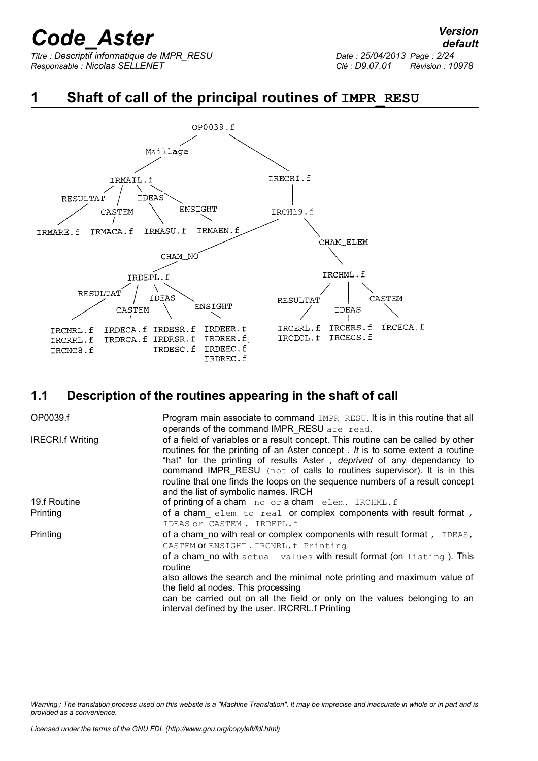*Titre : Descriptif informatique de IMPR\_RESU Date : 25/04/2013 Page : 2/24 Responsable : Nicolas SELLENET Clé : D9.07.01 Révision : 10978*

### **1** Shaft of call of the principal routines of **IMPR** RESU



### **1.1 Description of the routines appearing in the shaft of call**

| OP0039.f                | Program main associate to command IMPR RESU. It is in this routine that all<br>operands of the command IMPR RESU are read.                                                                                                                                                                                                                                                                                                                            |
|-------------------------|-------------------------------------------------------------------------------------------------------------------------------------------------------------------------------------------------------------------------------------------------------------------------------------------------------------------------------------------------------------------------------------------------------------------------------------------------------|
| <b>IRECRI.f Writing</b> | of a field of variables or a result concept. This routine can be called by other<br>routines for the printing of an Aster concept . It is to some extent a routine<br>"hat" for the printing of results Aster, <i>deprived</i> of any dependancy to<br>command IMPR RESU (not of calls to routines supervisor). It is in this<br>routine that one finds the loops on the sequence numbers of a result concept<br>and the list of symbolic names. IRCH |
| 19.f Routine            | of printing of a cham no or a cham elem. IRCHML.f                                                                                                                                                                                                                                                                                                                                                                                                     |
| Printing                | of a cham elem to real or complex components with result format,<br>IDEAS or CASTEM. IRDEPL.f                                                                                                                                                                                                                                                                                                                                                         |
| Printing                | of a cham no with real or complex components with result format, IDEAS,<br>CASTEM OF ENSIGHT . IRCNRL.f Printing                                                                                                                                                                                                                                                                                                                                      |
|                         | of a cham no with actual values with result format (on listing). This<br>routine                                                                                                                                                                                                                                                                                                                                                                      |
|                         | also allows the search and the minimal note printing and maximum value of<br>the field at nodes. This processing                                                                                                                                                                                                                                                                                                                                      |
|                         | can be carried out on all the field or only on the values belonging to an<br>interval defined by the user. IRCRRL.f Printing                                                                                                                                                                                                                                                                                                                          |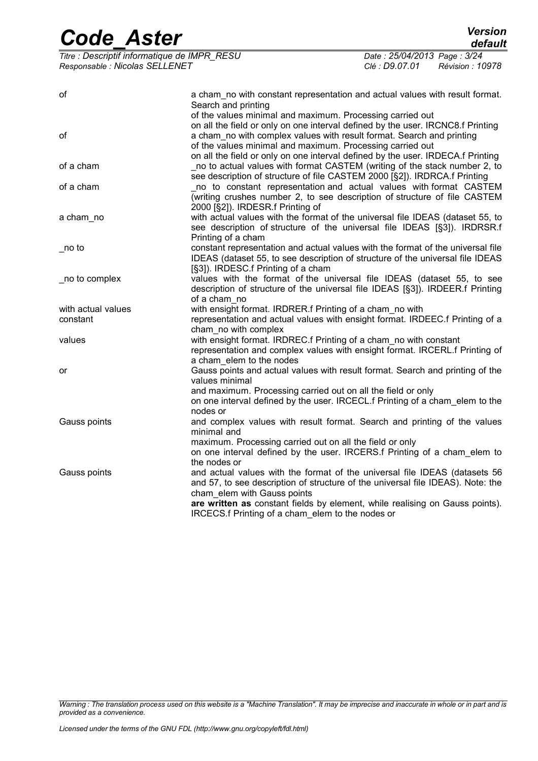| <b>Code Aster</b>                                                              |                                                                                                                                                                                                                                                                                                                                  |                                                                | <b>Version</b><br>default |
|--------------------------------------------------------------------------------|----------------------------------------------------------------------------------------------------------------------------------------------------------------------------------------------------------------------------------------------------------------------------------------------------------------------------------|----------------------------------------------------------------|---------------------------|
| Titre : Descriptif informatique de IMPR_RESU<br>Responsable : Nicolas SELLENET |                                                                                                                                                                                                                                                                                                                                  | Date: 25/04/2013 Page: 3/24<br>Clé : D9.07.01 Révision : 10978 |                           |
| οf                                                                             | a cham_no with constant representation and actual values with result format.<br>Search and printing<br>of the values minimal and maximum. Processing carried out                                                                                                                                                                 |                                                                |                           |
| οf                                                                             | on all the field or only on one interval defined by the user. IRCNC8.f Printing<br>a cham_no with complex values with result format. Search and printing<br>of the values minimal and maximum. Processing carried out<br>on all the field or only on one interval defined by the user. IRDECA.f Printing                         |                                                                |                           |
| of a cham                                                                      | no to actual values with format CASTEM (writing of the stack number 2, to<br>see description of structure of file CASTEM 2000 [§2]). IRDRCA.f Printing                                                                                                                                                                           |                                                                |                           |
| of a cham                                                                      | no to constant representation and actual values with format CASTEM<br>(writing crushes number 2, to see description of structure of file CASTEM<br>2000 [§2]). IRDESR.f Printing of                                                                                                                                              |                                                                |                           |
| a cham_no                                                                      | with actual values with the format of the universal file IDEAS (dataset 55, to<br>see description of structure of the universal file IDEAS [§3]). IRDRSR.f<br>Printing of a cham                                                                                                                                                 |                                                                |                           |
| $\_$ no to                                                                     | constant representation and actual values with the format of the universal file<br>IDEAS (dataset 55, to see description of structure of the universal file IDEAS<br>[§3]). IRDESC f Printing of a cham                                                                                                                          |                                                                |                           |
| _no to complex                                                                 | values with the format of the universal file IDEAS (dataset 55, to see<br>description of structure of the universal file IDEAS [§3]). IRDEER.f Printing<br>of a cham no                                                                                                                                                          |                                                                |                           |
| with actual values<br>constant                                                 | with ensight format. IRDRER.f Printing of a cham_no with<br>representation and actual values with ensight format. IRDEEC.f Printing of a<br>cham no with complex                                                                                                                                                                 |                                                                |                           |
| values                                                                         | with ensight format. IRDREC.f Printing of a cham_no with constant<br>representation and complex values with ensight format. IRCERL.f Printing of<br>a cham elem to the nodes                                                                                                                                                     |                                                                |                           |
| or                                                                             | Gauss points and actual values with result format. Search and printing of the<br>values minimal<br>and maximum. Processing carried out on all the field or only<br>on one interval defined by the user. IRCECL.f Printing of a cham elem to the<br>nodes or                                                                      |                                                                |                           |
| Gauss points                                                                   | and complex values with result format. Search and printing of the values<br>minimal and<br>maximum. Processing carried out on all the field or only<br>on one interval defined by the user. IRCERS.f Printing of a cham_elem to<br>the nodes or                                                                                  |                                                                |                           |
| Gauss points                                                                   | and actual values with the format of the universal file IDEAS (datasets 56<br>and 57, to see description of structure of the universal file IDEAS). Note: the<br>cham_elem with Gauss points<br>are written as constant fields by element, while realising on Gauss points).<br>IRCECS.f Printing of a cham elem to the nodes or |                                                                |                           |

*Warning : The translation process used on this website is a "Machine Translation". It may be imprecise and inaccurate in whole or in part and is provided as a convenience.*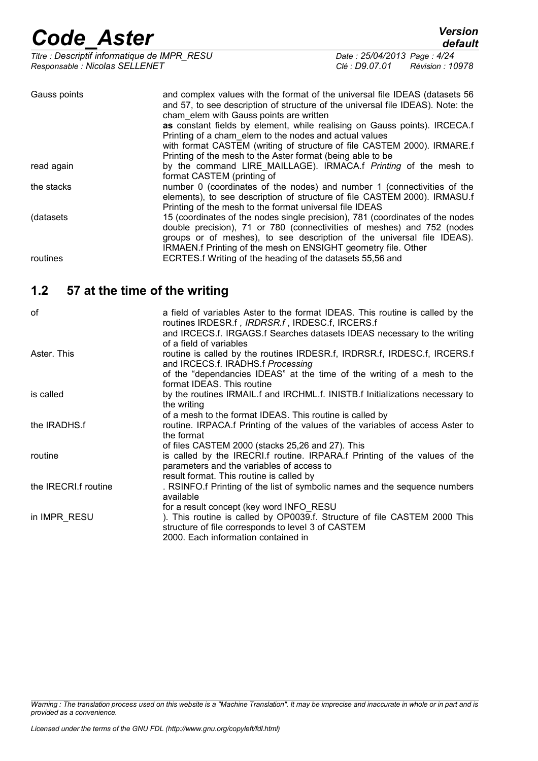*Titre : Descriptif informatique de IMPR\_RESU Date : 25/04/2013 Page : 4/24 Responsable : Nicolas SELLENET Clé : D9.07.01 Révision : 10978*

*default*

| Gauss points | and complex values with the format of the universal file IDEAS (datasets 56)<br>and 57, to see description of structure of the universal file IDEAS). Note: the<br>cham elem with Gauss points are written                                                                                         |
|--------------|----------------------------------------------------------------------------------------------------------------------------------------------------------------------------------------------------------------------------------------------------------------------------------------------------|
|              | as constant fields by element, while realising on Gauss points). IRCECA.f<br>Printing of a cham elem to the nodes and actual values                                                                                                                                                                |
|              | with format CASTEM (writing of structure of file CASTEM 2000). IRMARE.f<br>Printing of the mesh to the Aster format (being able to be                                                                                                                                                              |
| read again   | by the command LIRE_MAILLAGE). IRMACA.f Printing of the mesh to<br>format CASTEM (printing of                                                                                                                                                                                                      |
| the stacks   | number 0 (coordinates of the nodes) and number 1 (connectivities of the<br>elements), to see description of structure of file CASTEM 2000). IRMASU.f<br>Printing of the mesh to the format universal file IDEAS                                                                                    |
| (datasets)   | 15 (coordinates of the nodes single precision), 781 (coordinates of the nodes<br>double precision), 71 or 780 (connectivities of meshes) and 752 (nodes<br>groups or of meshes), to see description of the universal file IDEAS).<br>IRMAEN.f Printing of the mesh on ENSIGHT geometry file. Other |
| routines     | ECRTES.f Writing of the heading of the datasets 55,56 and                                                                                                                                                                                                                                          |

### **1.2 57 at the time of the writing**

| οf                           | a field of variables Aster to the format IDEAS. This routine is called by the<br>routines IRDESR.f, IRDRSR.f, IRDESC.f, IRCERS.f<br>and IRCECS.f. IRGAGS.f Searches datasets IDEAS necessary to the writing<br>of a field of variables |
|------------------------------|----------------------------------------------------------------------------------------------------------------------------------------------------------------------------------------------------------------------------------------|
| Aster, This                  | routine is called by the routines IRDESR.f, IRDRSR.f, IRDESC.f, IRCERS.f<br>and IRCECS.f. IRADHS.f Processing<br>of the "dependancies IDEAS" at the time of the writing of a mesh to the                                               |
|                              | format IDEAS. This routine                                                                                                                                                                                                             |
| is called                    | by the routines IRMAIL.f and IRCHML.f. INISTB.f Initializations necessary to<br>the writing                                                                                                                                            |
|                              | of a mesh to the format IDEAS. This routine is called by                                                                                                                                                                               |
| the IRADHS.f                 | routine. IRPACA.f Printing of the values of the variables of access Aster to<br>the format                                                                                                                                             |
|                              | of files CASTEM 2000 (stacks 25,26 and 27). This                                                                                                                                                                                       |
| routine                      | is called by the IRECRI.f routine. IRPARA.f Printing of the values of the<br>parameters and the variables of access to                                                                                                                 |
| the <b>IRECRI</b> .f routine | result format. This routine is called by<br>. RSINFO.f Printing of the list of symbolic names and the sequence numbers<br>available                                                                                                    |
| in IMPR RESU                 | for a result concept (key word INFO RESU<br>). This routine is called by OP0039.f. Structure of file CASTEM 2000 This<br>structure of file corresponds to level 3 of CASTEM<br>2000. Each information contained in                     |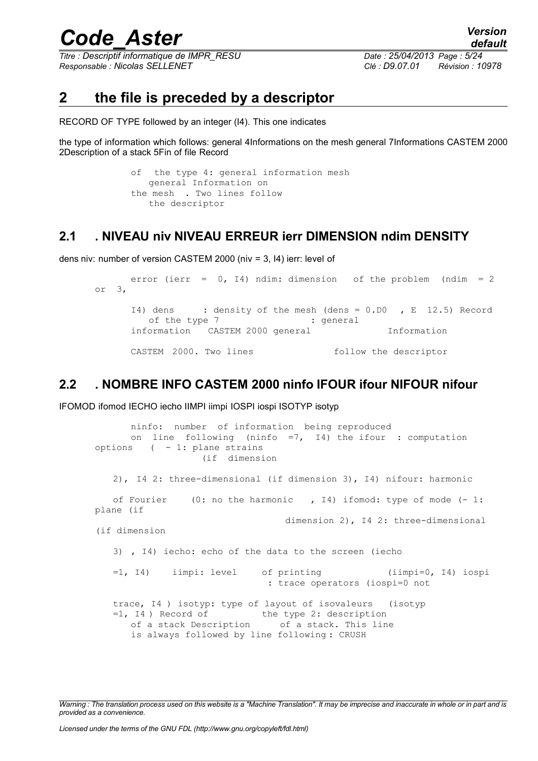*Titre : Descriptif informatique de IMPR\_RESU Date : 25/04/2013 Page : 5/24 Responsable : Nicolas SELLENET Clé : D9.07.01 Révision : 10978*

### **2 the file is preceded by a descriptor**

RECORD OF TYPE followed by an integer (I4). This one indicates

the type of information which follows: general 4Informations on the mesh general 7Informations CASTEM 2000 2Description of a stack 5Fin of file Record

> of the type 4: general information mesh general Information on the mesh . Two lines follow the descriptor

### **2.1 . NIVEAU niv NIVEAU ERREUR ierr DIMENSION ndim DENSITY**

dens niv: number of version CASTEM 2000 (niv = 3, I4) ierr: level of

```
error (ierr = 0, I4) ndim: dimension of the problem (ndim = 2
or 3, 
     I4) dens : density of the mesh (dens = 0.D0 , E 12.5) Record
        of the type 7 : general
     information CASTEM 2000 general Information
     CASTEM 2000. Two lines follow the descriptor
```
### **2.2 . NOMBRE INFO CASTEM 2000 ninfo IFOUR ifour NIFOUR nifour**

IFOMOD ifomod IECHO iecho IIMPI iimpi IOSPI iospi ISOTYP isotyp

```
ninfo: number of information being reproduced
      on line following (ninfo =7, I4) the ifour : computation
options ( - 1: plane strains
                   (if dimension
   2), I4 2: three-dimensional (if dimension 3), I4) nifour: harmonic
   of Fourier (0: no the harmonic , I4) ifomod: type of mode (- 1:
plane (if
                                  dimension 2), I4 2: three-dimensional
(if dimension
   3) , I4) iecho: echo of the data to the screen (iecho
   =1, I4) iimpi: level of printing (iimpi=0, I4) iospi
                               : trace operators (iospi=0 not
   trace, I4 ) isotyp: type of layout of isovaleurs (isotyp
   =1, I4) Record of the type 2: description
      of a stack Description of a stack. This line
      is always followed by line following : CRUSH
```
*Warning : The translation process used on this website is a "Machine Translation". It may be imprecise and inaccurate in whole or in part and is provided as a convenience.*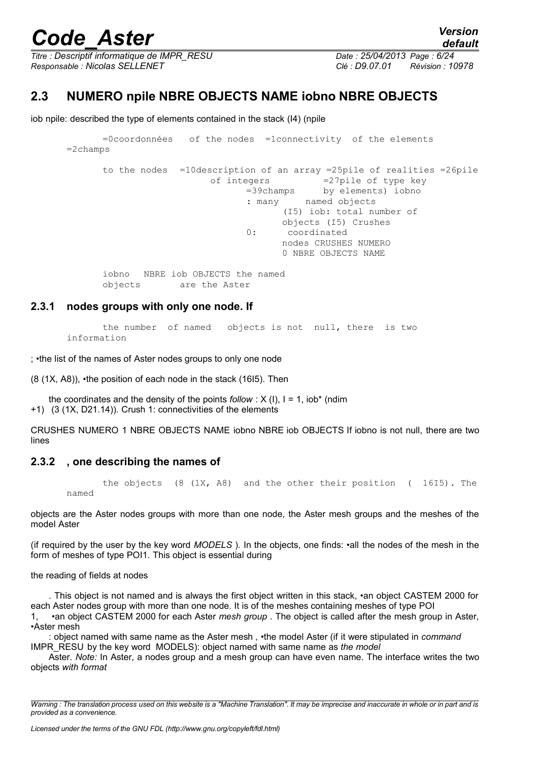*Titre : Descriptif informatique de IMPR\_RESU Date : 25/04/2013 Page : 6/24 Responsable : Nicolas SELLENET Clé : D9.07.01 Révision : 10978*

*default*

### **2.3 NUMERO npile NBRE OBJECTS NAME iobno NBRE OBJECTS**

iob npile: described the type of elements contained in the stack (I4) (npile

```
=0coordonnées of the nodes =1connectivity of the elements
=2champs 
      to the nodes =10description of an array =25pile of realities =26pile
                        of integers =27pile of type key
                              =39champs by elements) iobno
                               : many named objects
                                     (I5) iob: total number of
                                     objects (I5) Crushes
                              0: coordinated
                                     nodes CRUSHES NUMERO
                                     0 NBRE OBJECTS NAME
      iobno NBRE iob OBJECTS the named
      objects are the Aster
```
#### **2.3.1 nodes groups with only one node. If**

the number of named objects is not null, there is two information

; •the list of the names of Aster nodes groups to only one node

(8 (1X, A8)), •the position of each node in the stack (16I5). Then

the coordinates and the density of the points  $follow: X (I), I = 1, iob<sup>*</sup> (ndim)$ +1) (3 (1X, D21.14)). Crush 1: connectivities of the elements

CRUSHES NUMERO 1 NBRE OBJECTS NAME iobno NBRE iob OBJECTS If iobno is not null, there are two lines

#### **2.3.2 , one describing the names of**

the objects (8 (1X, A8) and the other their position ( 16I5). The named

objects are the Aster nodes groups with more than one node, the Aster mesh groups and the meshes of the model Aster

(if required by the user by the key word *MODELS* ). In the objects, one finds: •all the nodes of the mesh in the form of meshes of type POI1. This object is essential during

the reading of fields at nodes

. This object is not named and is always the first object written in this stack, •an object CASTEM 2000 for each Aster nodes group with more than one node. It is of the meshes containing meshes of type POI 1, •an object CASTEM 2000 for each Aster *mesh group* . The object is called after the mesh group in Aster, •Aster mesh

: object named with same name as the Aster mesh *, •*the model Aster (if it were stipulated in *command* IMPR\_RESU by the key word MODELS): object named with same name as *the model*

Aster. *Note:* In Aster, a nodes group and a mesh group can have even name. The interface writes the two objects *with format*

*Warning : The translation process used on this website is a "Machine Translation". It may be imprecise and inaccurate in whole or in part and is provided as a convenience.*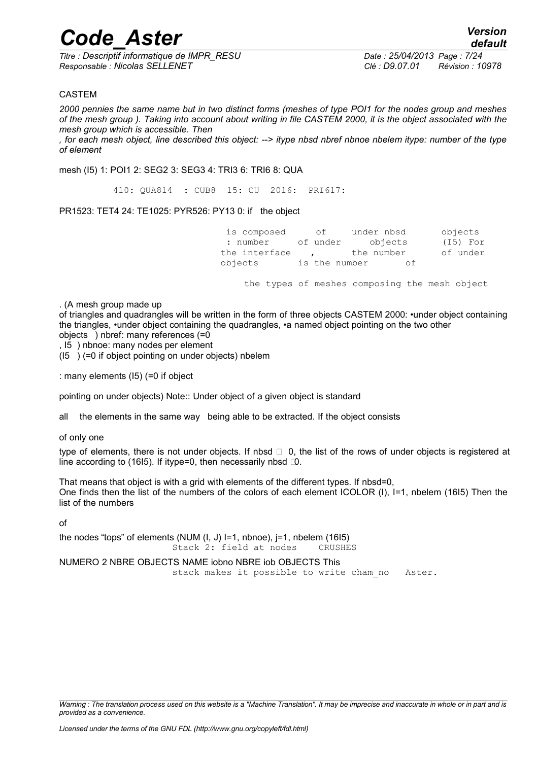*Titre : Descriptif informatique de IMPR\_RESU Date : 25/04/2013 Page : 7/24 Responsable : Nicolas SELLENET Clé : D9.07.01 Révision : 10978*

#### CASTEM

*2000 pennies the same name but in two distinct forms (meshes of type POI1 for the nodes group and meshes of the mesh group ). Taking into account about writing in file CASTEM 2000, it is the object associated with the mesh group which is accessible. Then*

*, for each mesh object, line described this object: --> itype nbsd nbref nbnoe nbelem itype: number of the type of element*

mesh (I5) 1: POI1 2: SEG2 3: SEG3 4: TRI3 6: TRI6 8: QUA

410: QUA814 : CUB8 15: CU 2016: PRI617:

PR1523: TET4 24: TE1025: PYR526: PY13 0: if the object

 is composed of under nbsd objects : number of under objects (I5) For the interface , the number of under objects is the number of

the types of meshes composing the mesh object

. (A mesh group made up

of triangles and quadrangles will be written in the form of three objects CASTEM 2000: •under object containing the triangles, •under object containing the quadrangles, •a named object pointing on the two other objects ) nbref: many references (=0

, I5 ) nbnoe: many nodes per element

 $(15)$   $(=0$  if object pointing on under objects) nbelem

: many elements (I5) (=0 if object

pointing on under objects) Note:: Under object of a given object is standard

all the elements in the same way being able to be extracted. If the object consists

of only one

type of elements, there is not under objects. If nbsd  $\Box$  0, the list of the rows of under objects is registered at line according to (16I5). If itype=0, then necessarily nbsd  $\Box$ .

That means that object is with a grid with elements of the different types. If nbsd=0, One finds then the list of the numbers of the colors of each element ICOLOR (I), I=1, nbelem (16I5) Then the list of the numbers

of

the nodes "tops" of elements (NUM (I, J) I=1, nbnoe), j=1, nbelem (16I5) Stack 2: field at nodes CRUSHES

NUMERO 2 NBRE OBJECTS NAME iobno NBRE iob OBJECTS This stack makes it possible to write cham no Aster.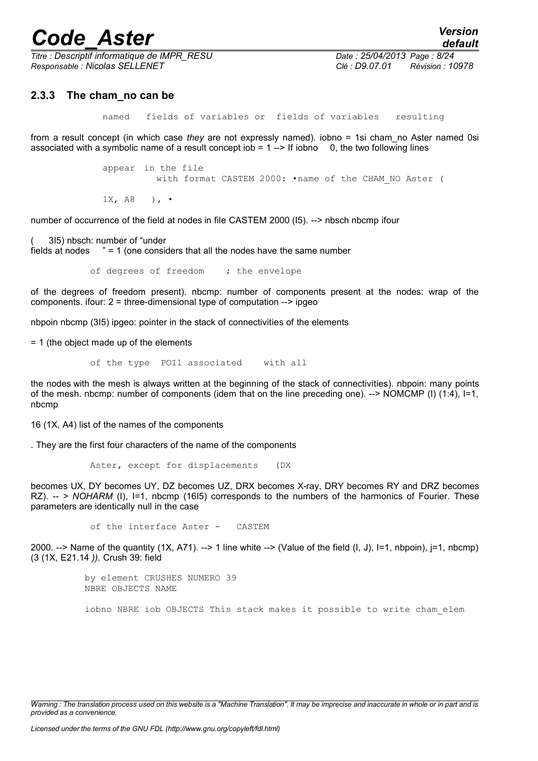*Titre : Descriptif informatique de IMPR\_RESU Date : 25/04/2013 Page : 8/24 Responsable : Nicolas SELLENET Clé : D9.07.01 Révision : 10978*

*default*

#### **2.3.3 The cham\_no can be**

named fields of variables or fields of variables resulting

from a result concept (in which case *they* are not expressly named). iobno = 1si cham\_no Aster named 0si associated with a symbolic name of a result concept iob  $= 1 -$  If iobno 0, the two following lines

> appear in the file with format CASTEM 2000: •name of the CHAM\_NO Aster (

 $1X, AB$  ),  $\cdot$ 

number of occurrence of the field at nodes in file CASTEM 2000 (I5). --> nbsch nbcmp ifour

( 3I5) nbsch: number of "under

fields at nodes " = 1 (one considers that all the nodes have the same number

of degrees of freedom ; the envelope

of the degrees of freedom present). nbcmp: number of components present at the nodes: wrap of the components. ifour: 2 = three-dimensional type of computation --> ipgeo

nbpoin nbcmp (3I5) ipgeo: pointer in the stack of connectivities of the elements

= 1 (the object made up of the elements

of the type POI1 associated with all

the nodes with the mesh is always written at the beginning of the stack of connectivities). nbpoin: many points of the mesh. nbcmp: number of components (idem that on the line preceding one). --> NOMCMP (I) (1:4), I=1, nbcmp

16 (1X, A4) list of the names of the components

. They are the first four characters of the name of the components

Aster, except for displacements (DX

becomes UX, DY becomes UY, DZ becomes UZ, DRX becomes X-ray, DRY becomes RY and DRZ becomes RZ). -- *> NOHARM* (I), I=1, nbcmp (16I5) corresponds to the numbers of the harmonics of Fourier. These parameters are identically null in the case

```
of the interface Aster - CASTEM
```
2000. --> Name of the quantity  $(1X, A71)$ . --> 1 line white --> (Value of the field  $(I, J)$ , I=1, nbpoin), i=1, nbcmp) (3 (1X, E21.14 *)).* Crush 39: field

> by element CRUSHES NUMERO 39 NBRE OBJECTS NAME

iobno NBRE iob OBJECTS This stack makes it possible to write cham\_elem

*Warning : The translation process used on this website is a "Machine Translation". It may be imprecise and inaccurate in whole or in part and is provided as a convenience.*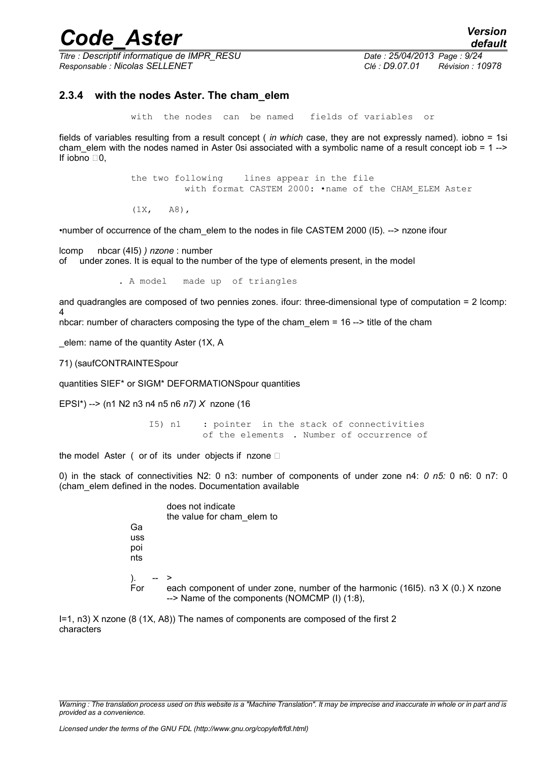*Titre : Descriptif informatique de IMPR\_RESU Date : 25/04/2013 Page : 9/24 Responsable : Nicolas SELLENET Clé : D9.07.01 Révision : 10978*

#### **2.3.4 with the nodes Aster. The cham\_elem**

with the nodes can be named fields of variables or

fields of variables resulting from a result concept ( *in which* case, they are not expressly named). iobno = 1si cham elem with the nodes named in Aster 0si associated with a symbolic name of a result concept iob = 1 --> If iobno  $\Box$ 0,

> the two following lines appear in the file with format CASTEM 2000: . name of the CHAM ELEM Aster

 $(1X, A8)$ ,

•number of occurrence of the cham\_elem to the nodes in file CASTEM 2000 (I5). --> nzone ifour

lcomp nbcar (4I5) *) nzone* : number of under zones. It is equal to the number of the type of elements present, in the model

. A model made up of triangles

and quadrangles are composed of two pennies zones. ifour: three-dimensional type of computation = 2 lcomp: 4

nbcar: number of characters composing the type of the cham\_elem = 16 --> title of the cham

\_elem: name of the quantity Aster (1X, A

71) (saufCONTRAINTESpour

quantities SIEF\* or SIGM\* DEFORMATIONSpour quantities

EPSI\*) --> (n1 N2 n3 n4 n5 n6 *n7) X* nzone (16

I5) n1 : pointer in the stack of connectivities of the elements . Number of occurrence of

the model Aster ( or of its under objects if nzone  $\square$ 

0) in the stack of connectivities N2: 0 n3: number of components of under zone n4: *0 n5:* 0 n6: 0 n7: 0 (cham\_elem defined in the nodes. Documentation available

| Ga<br>uss<br>poi<br>nts | does not indicate<br>the value for cham elem to                                                                                   |
|-------------------------|-----------------------------------------------------------------------------------------------------------------------------------|
| For                     | each component of under zone, number of the harmonic (1615). n3 $X$ (0.) X nzone<br>--> Name of the components (NOMCMP (I) (1:8), |

I=1, n3) X nzone (8 (1X, A8)) The names of components are composed of the first 2 characters

*Warning : The translation process used on this website is a "Machine Translation". It may be imprecise and inaccurate in whole or in part and is provided as a convenience.*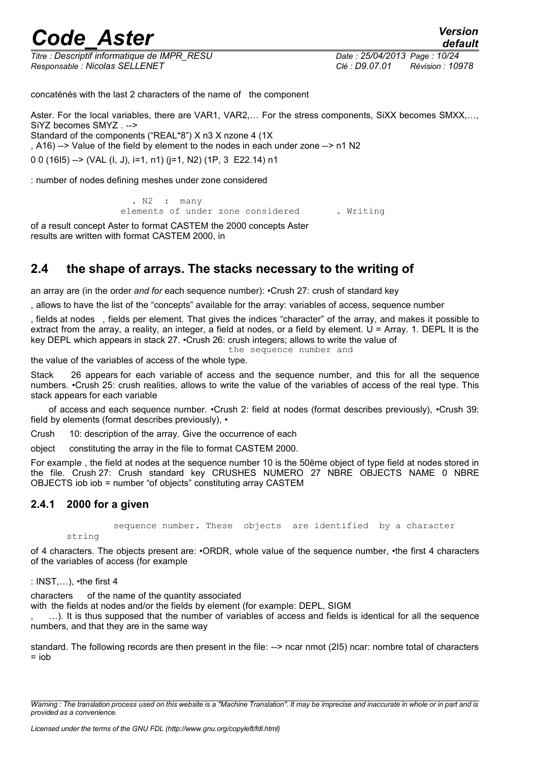*Titre : Descriptif informatique de IMPR\_RESU Date : 25/04/2013 Page : 10/24 Responsable : Nicolas SELLENET Clé : D9.07.01 Révision : 10978*

concaténés with the last 2 characters of the name of the component

Aster. For the local variables, there are VAR1, VAR2,… For the stress components, SiXX becomes SMXX,…, SiYZ becomes SMYZ *. -->* Standard of the components ("REAL\*8") X n3 X nzone 4 (1X , A16) --> Value of the field by element to the nodes in each under zone --> n1 N2 0 0 (16I5) --> (VAL (I, J), i=1, n1) (j=1, N2) (1P, 3 E22.14) n1

: number of nodes defining meshes under zone considered

. N2 : many elements of under zone considered . Writing

of a result concept Aster to format CASTEM the 2000 concepts Aster results are written with format CASTEM 2000, in

### **2.4 the shape of arrays. The stacks necessary to the writing of**

an array are (in the order *and for* each sequence number): •Crush 27: crush of standard key

, allows to have the list of the "concepts" available for the array: variables of access, sequence number

, fields at nodes , fields per element. That gives the indices "character" of the array, and makes it possible to extract from the array, a reality, an integer, a field at nodes, or a field by element.  $U = A$ rray. 1. DEPL It is the key DEPL which appears in stack 27. •Crush 26: crush integers; allows to write the value of

the sequence number and

the value of the variables of access of the whole type.

Stack 26 appears for each variable of access and the sequence number, and this for all the sequence numbers. •Crush 25: crush realities, allows to write the value of the variables of access of the real type. This stack appears for each variable

of access and each sequence number. •Crush 2: field at nodes (format describes previously), •Crush 39: field by elements (format describes previously), •

Crush 10: description of the array. Give the occurrence of each

object constituting the array in the file to format CASTEM 2000.

For example , the field at nodes at the sequence number 10 is the 50ème object of type field at nodes stored in the file. Crush 27: Crush standard key CRUSHES NUMERO 27 NBRE OBJECTS NAME 0 NBRE OBJECTS iob iob = number "of objects" constituting array CASTEM

#### **2.4.1 2000 for a given**

sequence number. These objects are identified by a character

string

of 4 characters. The objects present are: •ORDR, whole value of the sequence number, •the first 4 characters of the variables of access (for example

: INST,…), •the first 4

characters of the name of the quantity associated

with the fields at nodes and/or the fields by element (for example: DEPL, SIGM

, …). It is thus supposed that the number of variables of access and fields is identical for all the sequence numbers, and that they are in the same way

standard. The following records are then present in the file: --> ncar nmot (2I5) ncar: nombre total of characters  $=$  inh

*Warning : The translation process used on this website is a "Machine Translation". It may be imprecise and inaccurate in whole or in part and is provided as a convenience.*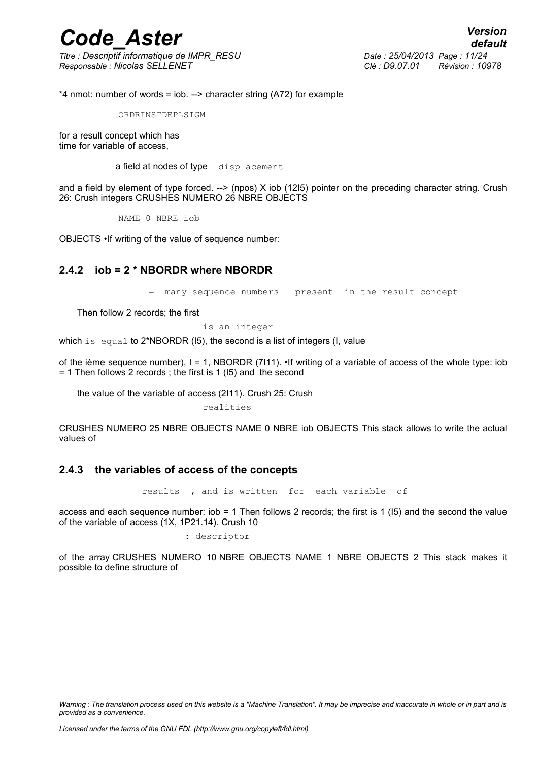*Titre : Descriptif informatique de IMPR\_RESU Date : 25/04/2013 Page : 11/24 Responsable : Nicolas SELLENET Clé : D9.07.01 Révision : 10978*

*default*

\*4 nmot: number of words = iob. --> character string (A72) for example

ORDRINSTDEPLSIGM

for a result concept which has time for variable of access,

a field at nodes of type displacement

and a field by element of type forced. --> (npos) X iob (12I5) pointer on the preceding character string. Crush 26: Crush integers CRUSHES NUMERO 26 NBRE OBJECTS

NAME 0 NBRE iob

OBJECTS •If writing of the value of sequence number:

#### **2.4.2 iob = 2 \* NBORDR where NBORDR**

many sequence numbers present in the result concept

Then follow 2 records; the first

is an integer

which is equal to 2\*NBORDR (I5), the second is a list of integers (I, value

of the ième sequence number), I = 1, NBORDR (7I11). •If writing of a variable of access of the whole type: iob = 1 Then follows 2 records ; the first is 1 (I5) and the second

the value of the variable of access (2I11). Crush 25: Crush

realities

CRUSHES NUMERO 25 NBRE OBJECTS NAME 0 NBRE iob OBJECTS This stack allows to write the actual values of

#### **2.4.3 the variables of access of the concepts**

results , and is written for each variable of

access and each sequence number: iob = 1 Then follows 2 records; the first is 1 (I5) and the second the value of the variable of access (1X, 1P21.14). Crush 10

: descriptor

of the array CRUSHES NUMERO 10 NBRE OBJECTS NAME 1 NBRE OBJECTS 2 This stack makes it possible to define structure of

*Warning : The translation process used on this website is a "Machine Translation". It may be imprecise and inaccurate in whole or in part and is provided as a convenience.*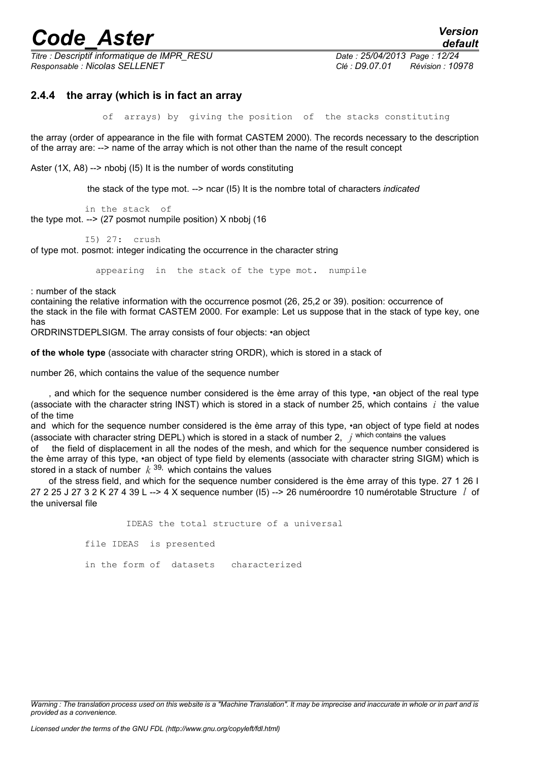*Titre : Descriptif informatique de IMPR\_RESU Date : 25/04/2013 Page : 12/24 Responsable : Nicolas SELLENET Clé : D9.07.01 Révision : 10978*

*default*

#### **2.4.4 the array (which is in fact an array**

of arrays) by giving the position of the stacks constituting

the array (order of appearance in the file with format CASTEM 2000). The records necessary to the description of the array are: --> name of the array which is not other than the name of the result concept

Aster (1X, A8) --> nbobj (I5) It is the number of words constituting

the stack of the type mot. --> ncar (I5) It is the nombre total of characters *indicated*

in the stack of the type mot. --> (27 posmot numpile position) X nbobj (16

I5) 27: crush

of type mot. posmot: integer indicating the occurrence in the character string

appearing in the stack of the type mot. numpile

: number of the stack

containing the relative information with the occurrence posmot (26, 25,2 or 39). position: occurrence of the stack in the file with format CASTEM 2000. For example: Let us suppose that in the stack of type key, one has

ORDRINSTDEPLSIGM. The array consists of four objects: •an object

**of the whole type** (associate with character string ORDR), which is stored in a stack of

number 26, which contains the value of the sequence number

, and which for the sequence number considered is the ème array of this type, •an object of the real type (associate with the character string INST) which is stored in a stack of number 25, which contains *i* the value of the time

and which for the sequence number considered is the ème array of this type, •an object of type field at nodes (associate with character string DEPL) which is stored in a stack of number 2, *j* which contains the values

of the field of displacement in all the nodes of the mesh, and which for the sequence number considered is the ème array of this type, •an object of type field by elements (associate with character string SIGM) which is stored in a stack of number *k* 39, which contains the values

of the stress field, and which for the sequence number considered is the ème array of this type. 27 1 26 I 27 2 25 J 27 3 2 K 27 4 39 L --> 4 X sequence number (I5) --> 26 numéroordre 10 numérotable Structure *l* of the universal file

IDEAS the total structure of a universal

file IDEAS is presented

in the form of datasets characterized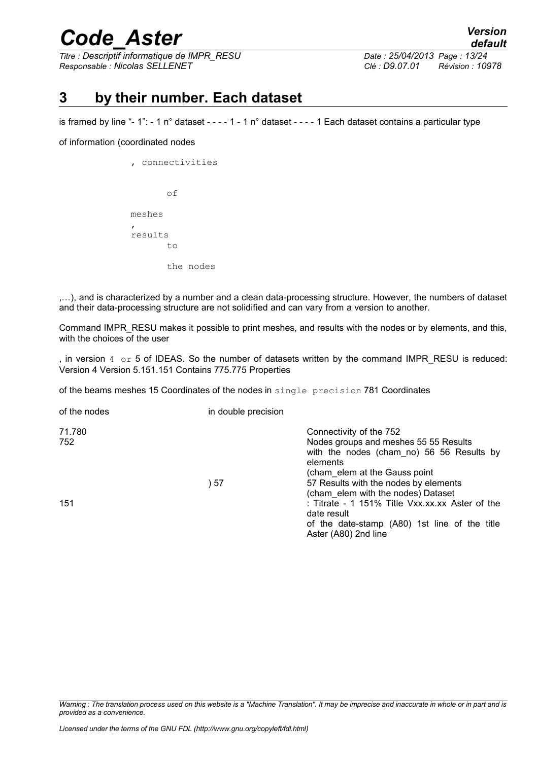*Titre : Descriptif informatique de IMPR\_RESU Date : 25/04/2013 Page : 13/24 Responsable : Nicolas SELLENET Clé : D9.07.01 Révision : 10978*

*default*

### **3 by their number. Each dataset**

is framed by line "-  $1$ ": - 1 n° dataset - - - - 1 - 1 n° dataset - - - - 1 Each dataset contains a particular type

#### of information (coordinated nodes

|   |         |     | connectivities |
|---|---------|-----|----------------|
|   |         | оf  |                |
|   | meshes  |     |                |
| , | results |     |                |
|   |         | t.o |                |
|   |         |     | the nodes      |

,…), and is characterized by a number and a clean data-processing structure. However, the numbers of dataset and their data-processing structure are not solidified and can vary from a version to another.

Command IMPR\_RESU makes it possible to print meshes, and results with the nodes or by elements, and this, with the choices of the user

, in version  $4 \text{ or } 5$  of IDEAS. So the number of datasets written by the command IMPR\_RESU is reduced: Version 4 Version 5.151.151 Contains 775.775 Properties

of the beams meshes 15 Coordinates of the nodes in single precision 781 Coordinates

| of the nodes  | in double precision |                                                                                                                                                                                                     |
|---------------|---------------------|-----------------------------------------------------------------------------------------------------------------------------------------------------------------------------------------------------|
| 71.780<br>752 | 57 (                | Connectivity of the 752<br>Nodes groups and meshes 55 55 Results<br>with the nodes (cham no) 56 56 Results by<br>elements<br>(cham elem at the Gauss point<br>57 Results with the nodes by elements |
| 151           |                     | (cham elem with the nodes) Dataset<br>: Titrate - 1 151% Title Vxx.xx.xx Aster of the<br>date result<br>of the date-stamp (A80) 1st line of the title<br>Aster (A80) 2nd line                       |

*Warning : The translation process used on this website is a "Machine Translation". It may be imprecise and inaccurate in whole or in part and is provided as a convenience.*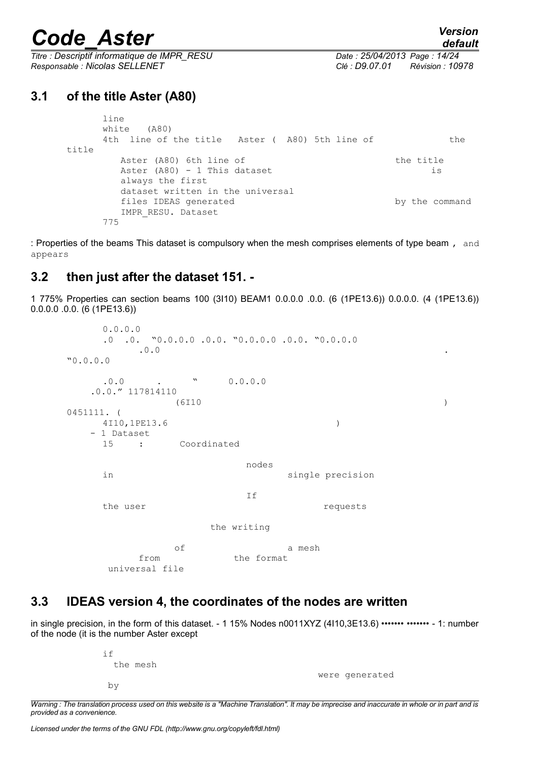*Titre : Descriptif informatique de IMPR\_RESU Date : 25/04/2013 Page : 14/24 Responsable : Nicolas SELLENET Clé : D9.07.01 Révision : 10978*

### **3.1 of the title Aster (A80)**

```
line
    white (A80)
    4th line of the title Aster ( A80) 5th line of the
title
       Aster (A80) 6th line of the title
       Aster (A80) - 1 This dataset is
       always the first
       dataset written in the universal
       files IDEAS generated by the command
       IMPR_RESU. Dataset
    775
```
: Properties of the beams This dataset is compulsory when the mesh comprises elements of type beam, and appears

### **3.2 then just after the dataset 151. -**

1 775% Properties can section beams 100 (3I10) BEAM1 0.0.0.0 .0.0. (6 (1PE13.6)) 0.0.0.0. (4 (1PE13.6)) 0.0.0.0 .0.0. (6 (1PE13.6))

```
0.0.0.0
   .0 .0. "0.0.0.0 .0.0. "0.0.0.0 .0.0. "0.0.0.0
       \mathbf{0.0} .
"0.0.0.0
   .0.0 . " 0.0.0.0
   .0.0." 117814110
           (6I10 )
0451111. (
   4I10,1PE13.6 )
   - 1 Dataset
   15 : Coordinated
                  nodes
   in single precision
                  If
   the user requests
              the writing
           of a mesh
       from the format
     universal file
```
### **3.3 IDEAS version 4, the coordinates of the nodes are written**

in single precision, in the form of this dataset. - 1 15% Nodes n0011XYZ (4l10,3E13.6) ••••••• ••••••• - 1: number of the node (it is the number Aster except

| if |          |
|----|----------|
|    | the mesh |
|    |          |
| by |          |

were generated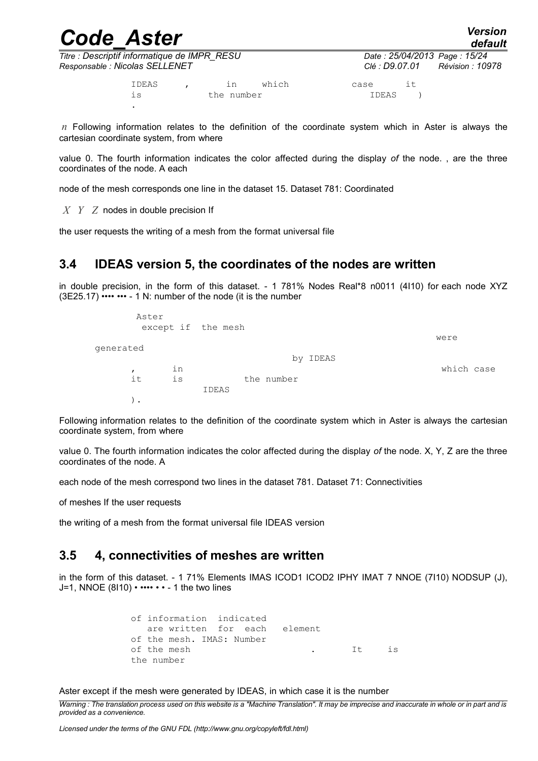| <b>Code Aster</b>                                                              |       |  |                  | Date: 25/04/2013 Page: 15/24<br>Clé : D9.07.01 | <b>Version</b><br>default |    |  |
|--------------------------------------------------------------------------------|-------|--|------------------|------------------------------------------------|---------------------------|----|--|
| Titre : Descriptif informatique de IMPR_RESU<br>Responsable : Nicolas SELLENET |       |  | Révision : 10978 |                                                |                           |    |  |
|                                                                                | IDEAS |  |                  | which                                          | case                      | ıt |  |

is the number IDEAS ) .

*n* Following information relates to the definition of the coordinate system which in Aster is always the cartesian coordinate system, from where

value 0. The fourth information indicates the color affected during the display *of* the node. , are the three coordinates of the node. A each

node of the mesh corresponds one line in the dataset 15. Dataset 781: Coordinated

*X Y Z* nodes in double precision If

the user requests the writing of a mesh from the format universal file

### **3.4 IDEAS version 5, the coordinates of the nodes are written**

in double precision, in the form of this dataset. - 1 781% Nodes Real\*8 n0011 (4I10) for each node XYZ  $(3E25.17)$  •••• •••  $-1$  N; number of the node (it is the number

|              | Aster<br>except if the mesh |       |            |            |
|--------------|-----------------------------|-------|------------|------------|
|              |                             |       |            | were       |
| qenerated    |                             |       |            |            |
|              |                             |       | by IDEAS   |            |
| $\mathbf{r}$ | in                          |       |            | which case |
| it           | is                          |       | the number |            |
|              |                             | IDEAS |            |            |
| $\bullet$    |                             |       |            |            |

Following information relates to the definition of the coordinate system which in Aster is always the cartesian coordinate system, from where

value 0. The fourth information indicates the color affected during the display *of* the node. X, Y, Z are the three coordinates of the node. A

each node of the mesh correspond two lines in the dataset 781. Dataset 71: Connectivities

of meshes If the user requests

the writing of a mesh from the format universal file IDEAS version

### **3.5 4, connectivities of meshes are written**

in the form of this dataset. - 1 71% Elements IMAS ICOD1 ICOD2 IPHY IMAT 7 NNOE (7110) NODSUP (J), J=1, NNOE (8l10)  $\cdot \cdots \cdot \cdot$  - 1 the two lines

```
of information indicated
   are written for each element
of the mesh. IMAS: Number
of the mesh . It is
the number
```
Aster except if the mesh were generated by IDEAS, in which case it is the number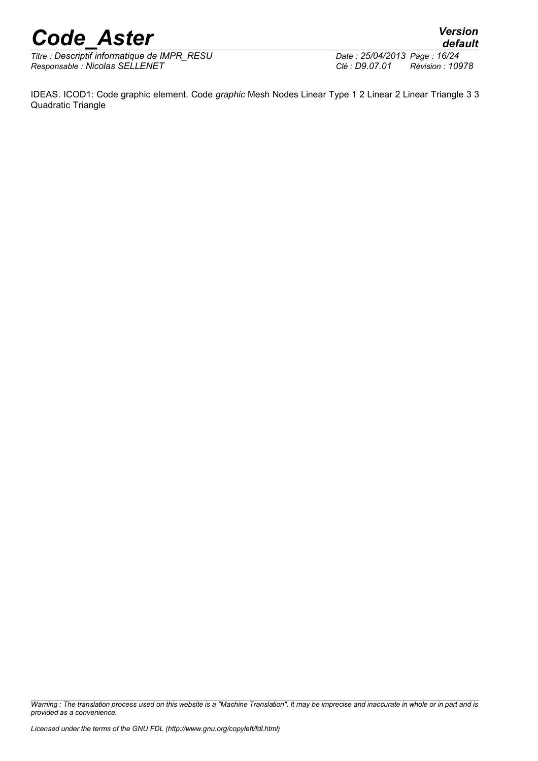*Titre : Descriptif informatique de IMPR\_RESU Date : 25/04/2013 Date : 25/04/2013 Page : 25/04/2013 Page : 25/04/2013 Page : 25/04/2013 Page : 25/04/2014 Page : 25/04/2014 Page : 25/04/2014 Page : 25/04/2 Responsable : Nicolas SELLENET Clé : D9.07.01 Révision : 10978*

*default*

IDEAS. ICOD1: Code graphic element. Code *graphic* Mesh Nodes Linear Type 1 2 Linear 2 Linear Triangle 3 3 Quadratic Triangle

*Warning : The translation process used on this website is a "Machine Translation". It may be imprecise and inaccurate in whole or in part and is provided as a convenience.*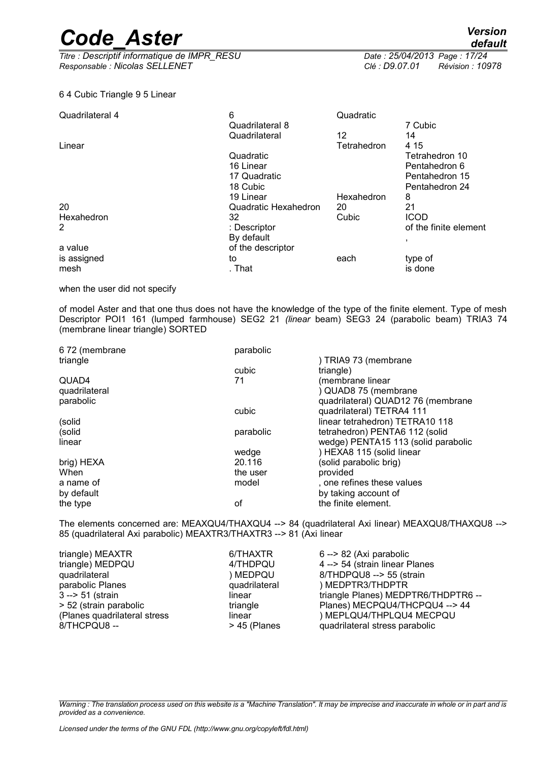*Titre : Descriptif informatique de IMPR\_RESU Date : 25/04/2013 Page : 17/24 Responsable : Nicolas SELLENET Clé : D9.07.01 Révision : 10978*

*default*

#### 6 4 Cubic Triangle 9 5 Linear

| Quadrilateral 4 | 6                    | Quadratic   |                       |
|-----------------|----------------------|-------------|-----------------------|
|                 | Quadrilateral 8      |             | 7 Cubic               |
|                 | Quadrilateral        | 12          | 14                    |
| Linear          |                      | Tetrahedron | 4 15                  |
|                 | Quadratic            |             | Tetrahedron 10        |
|                 | 16 Linear            |             | Pentahedron 6         |
|                 | 17 Quadratic         |             | Pentahedron 15        |
|                 | 18 Cubic             |             | Pentahedron 24        |
|                 | 19 Linear            | Hexahedron  | 8                     |
| 20              | Quadratic Hexahedron | 20          | 21                    |
| Hexahedron      | 32                   | Cubic       | <b>ICOD</b>           |
| 2               | : Descriptor         |             | of the finite element |
|                 | By default           |             | л,                    |
| a value         | of the descriptor    |             |                       |
| is assigned     | to                   | each        | type of               |
| mesh            | . That               |             | is done               |

when the user did not specify

of model Aster and that one thus does not have the knowledge of the type of the finite element. Type of mesh Descriptor POI1 161 (lumped farmhouse) SEG2 21 *(linear* beam) SEG3 24 (parabolic beam) TRIA3 74 (membrane linear triangle) SORTED

| 672 (membrane | parabolic |                                     |
|---------------|-----------|-------------------------------------|
| triangle      |           | ) TRIA9 73 (membrane                |
|               | cubic     | triangle)                           |
| QUAD4         | 71        | (membrane linear                    |
| quadrilateral |           | ) QUAD8 75 (membrane                |
| parabolic     |           | quadrilateral) QUAD12 76 (membrane  |
|               | cubic     | quadrilateral) TETRA4 111           |
| (solid        |           | linear tetrahedron) TETRA10 118     |
| (solid        | parabolic | tetrahedron) PENTA6 112 (solid      |
| linear        |           | wedge) PENTA15 113 (solid parabolic |
|               | wedge     | ) HEXA8 115 (solid linear           |
| brig) HEXA    | 20.116    | (solid parabolic brig)              |
| When          | the user  | provided                            |
| a name of     | model     | , one refines these values          |
| by default    |           | by taking account of                |
| the type      | οf        | the finite element.                 |

The elements concerned are: MEAXQU4/THAXQU4 --> 84 (quadrilateral Axi linear) MEAXQU8/THAXQU8 --> 85 (quadrilateral Axi parabolic) MEAXTR3/THAXTR3 --> 81 (Axi linear

| triangle) MEAXTR             | 6/THAXTR      | 6 --> 82 (Axi parabolic             |
|------------------------------|---------------|-------------------------------------|
| triangle) MEDPQU             | 4/THDPQU      | 4 -- > 54 (strain linear Planes     |
| quadrilateral                | ) MEDPQU      | 8/THDPQU8 --> 55 (strain            |
| parabolic Planes             | quadrilateral | ) MEDPTR3/THDPTR                    |
| $3 - 51$ (strain             | linear        | triangle Planes) MEDPTR6/THDPTR6 -- |
| > 52 (strain parabolic       | triangle      | Planes) MECPQU4/THCPQU4 --> 44      |
| (Planes quadrilateral stress | linear        | ) MEPLQU4/THPLQU4 MECPQU            |
| 8/THCPQU8-                   | > 45 (Planes  | quadrilateral stress parabolic      |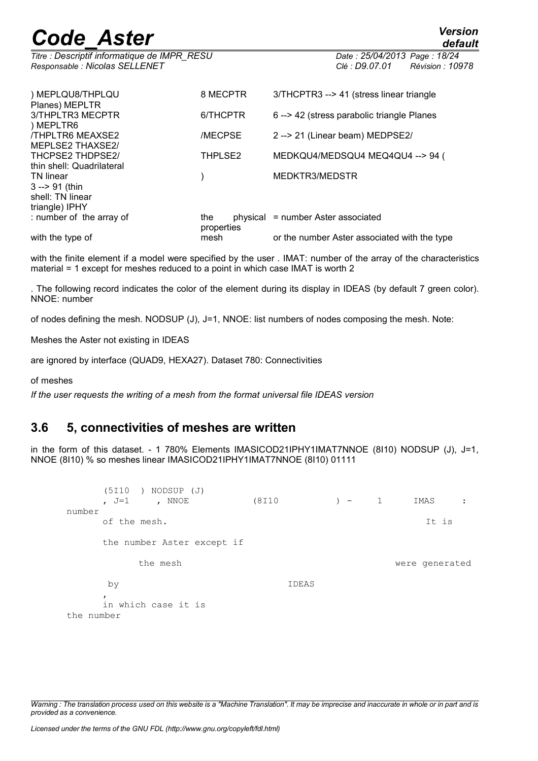*Titre : Descriptif informatique de IMPR\_RESU Date : 25/04/2013 Page : 18/24 Responsable : Nicolas SELLENET Clé : D9.07.01 Révision : 10978*

| ) MEPLQU8/THPLQU<br>Planes) MEPLTR     | 8 MECPTR          | 3/THCPTR3 --> 41 (stress linear triangle     |
|----------------------------------------|-------------------|----------------------------------------------|
| 3/THPLTR3 MECPTR                       | 6/THCPTR          | 6 --> 42 (stress parabolic triangle Planes   |
| ) MEPLTR6<br><b>/THPLTR6 MEAXSE2</b>   | /MECPSE           | 2 -- > 21 (Linear beam) MEDPSE2/             |
| MEPLSE2 THAXSE2/<br>THCPSE2 THDPSE2/   | THPLSE2           | MEDKQU4/MEDSQU4 MEQ4QU4 --> 94 (             |
| thin shell: Quadrilateral<br>TN linear |                   | MEDKTR3/MEDSTR                               |
| $3 - 91$ (thin                         |                   |                                              |
| shell: TN linear<br>triangle) IPHY     |                   |                                              |
| : number of the array of               | the<br>properties | physical = number Aster associated           |
| with the type of                       | mesh              | or the number Aster associated with the type |

with the finite element if a model were specified by the user . IMAT: number of the array of the characteristics material = 1 except for meshes reduced to a point in which case IMAT is worth 2

. The following record indicates the color of the element during its display in IDEAS (by default 7 green color). NNOE: number

of nodes defining the mesh. NODSUP (J), J=1, NNOE: list numbers of nodes composing the mesh. Note:

Meshes the Aster not existing in IDEAS

are ignored by interface (QUAD9, HEXA27). Dataset 780: Connectivities

of meshes

*If the user requests the writing of a mesh from the format universal file IDEAS version*

### **3.6 5, connectivities of meshes are written**

in the form of this dataset. - 1 780% Elements IMASICOD21IPHY1IMAT7NNOE (8I10) NODSUP (J), J=1, NNOE (8I10) % so meshes linear IMASICOD21IPHY1IMAT7NNOE (8I10) 01111

```
(5I10 ) NODSUP (J)
   , J=1 , NNOE (8I10 ) - 1 IMAS :
number
   of the mesh. It is
   the number Aster except if
       the mesh were generated
    by IDEAS
   \mathbf{r}in which case it is
the number
```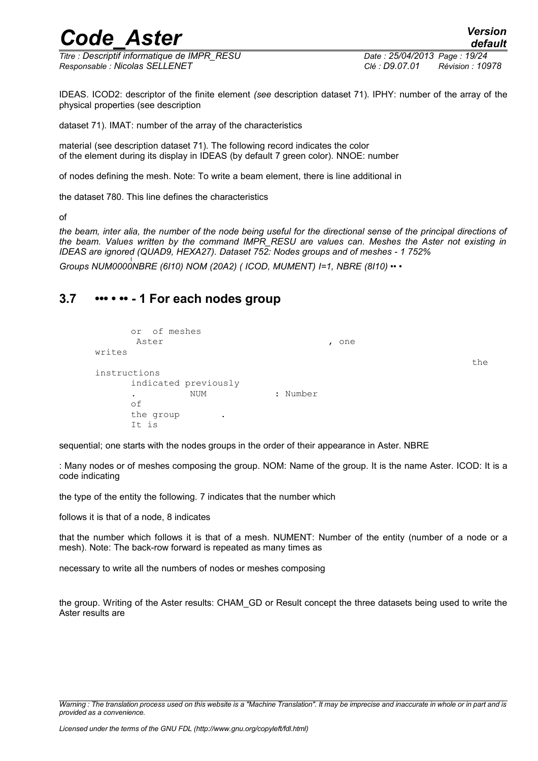*Titre : Descriptif informatique de IMPR\_RESU Date : 25/04/2013 Page : 19/24 Responsable : Nicolas SELLENET Clé : D9.07.01 Révision : 10978*

IDEAS. ICOD2: descriptor of the finite element *(see* description dataset 71). IPHY: number of the array of the physical properties (see description

dataset 71). IMAT: number of the array of the characteristics

material (see description dataset 71). The following record indicates the color of the element during its display in IDEAS (by default 7 green color). NNOE: number

of nodes defining the mesh. Note: To write a beam element, there is line additional in

the dataset 780. This line defines the characteristics

of

*the beam, inter alia, the number of the node being useful for the directional sense of the principal directions of the beam. Values written by the command IMPR\_RESU are values can. Meshes the Aster not existing in IDEAS are ignored (QUAD9, HEXA27). Dataset 752: Nodes groups and of meshes - 1 752% Groups NUM0000NBRE (6I10) NOM (20A2) ( ICOD, MUMENT) I=1, NBRE (8I10) •• •*

### **3.7 ••• • •• - 1 For each nodes group**

```
or of meshes
     Aster , one
writes
instructions
    indicated previously
            . NUM : Number
    of
    the group
    It is
```
sequential; one starts with the nodes groups in the order of their appearance in Aster. NBRE

: Many nodes or of meshes composing the group. NOM: Name of the group. It is the name Aster. ICOD: It is a code indicating

the type of the entity the following. 7 indicates that the number which

follows it is that of a node, 8 indicates

that the number which follows it is that of a mesh. NUMENT: Number of the entity (number of a node or a mesh). Note: The back-row forward is repeated as many times as

necessary to write all the numbers of nodes or meshes composing

the group. Writing of the Aster results: CHAM\_GD or Result concept the three datasets being used to write the Aster results are

the

*Warning : The translation process used on this website is a "Machine Translation". It may be imprecise and inaccurate in whole or in part and is provided as a convenience.*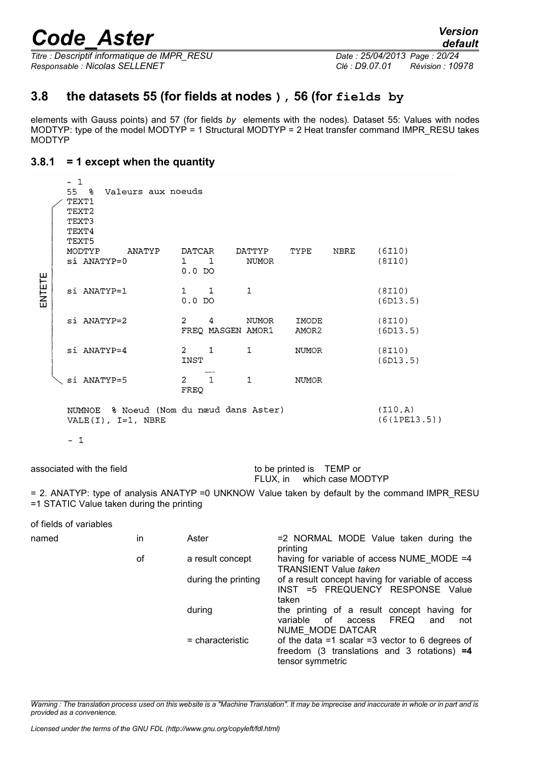*Titre : Descriptif informatique de IMPR\_RESU Date : 25/04/2013 Page : 20/24 Responsable : Nicolas SELLENET Clé : D9.07.01 Révision : 10978*

### **3.8 the datasets 55 (for fields at nodes ), 56 (for fields by**

elements with Gauss points) and 57 (for fields *by* elements with the nodes). Dataset 55: Values with nodes MODTYP: type of the model MODTYP = 1 Structural MODTYP = 2 Heat transfer command IMPR\_RESU takes MODTYP

#### **3.8.1 = 1 except when the quantity**

|        |  | $-1$<br>55 %<br>Valeurs aux noeuds<br>TEXT1<br>TEXT2<br>TEXT3<br>TEXT4<br>TEXT5 |                                          |                      |                |      |                         |  |  |  |  |
|--------|--|---------------------------------------------------------------------------------|------------------------------------------|----------------------|----------------|------|-------------------------|--|--|--|--|
|        |  | MODTYP<br>ANATYP<br>si ANATYP=0                                                 | DATCAR<br>$1 \quad 1$<br>$0.0$ DO        | DATTYP TYPE<br>NUMOR |                | NBRE | (6110)<br>(8110)        |  |  |  |  |
| ENTETE |  | si ANATYP=1                                                                     | $1 \quad 1$<br>$0.0$ DO                  | $\mathbf{1}$         |                |      | (8I10)<br>(6D13.5)      |  |  |  |  |
|        |  | si ANATYP=2                                                                     | 2<br>4<br>FREQ MASGEN AMOR1              | NUMOR                | IMODE<br>AMOR2 |      | (8I10)<br>(6D13.5)      |  |  |  |  |
|        |  | $si$ ANATYP=4                                                                   | $2 \quad 1$<br>INST                      | $\mathbf{1}$         | NUMOR          |      | (8I10)<br>(6D13.5)      |  |  |  |  |
|        |  | si ANATYP=5                                                                     | $\overline{1}$<br>$\overline{2}$<br>FREQ | $\mathbf{1}$         | <b>NUMOR</b>   |      |                         |  |  |  |  |
|        |  | NUMNOE % Noeud (Nom du nœud dans Aster)<br>VALE $(I)$ , I=1, NBRE               |                                          |                      |                |      | (110,A)<br>(6(1PE13.5)) |  |  |  |  |

 $-1$ 

associated with the field to be printed is TEMP or FLUX, in which case MODTYP

= 2. ANATYP: type of analysis ANATYP =0 UNKNOW Value taken by default by the command IMPR\_RESU =1 STATIC Value taken during the printing

| of fields of variables |    |                     |                                                                                                                             |
|------------------------|----|---------------------|-----------------------------------------------------------------------------------------------------------------------------|
| named                  | in | Aster               | =2 NORMAL MODE Value taken during the<br>printing                                                                           |
|                        | οf | a result concept    | having for variable of access NUME MODE =4<br><b>TRANSIENT Value taken</b>                                                  |
|                        |    | during the printing | of a result concept having for variable of access<br>INST =5 FREQUENCY RESPONSE Value<br>taken                              |
|                        |    | during              | the printing of a result concept having<br>for<br>of<br>variable<br><b>FREQ</b><br>access<br>not<br>and<br>NUME MODE DATCAR |
|                        |    | $=$ characteristic  | of the data $=1$ scalar $=3$ vector to 6 degrees of<br>freedom (3 translations and 3 rotations) $=4$<br>tensor symmetric    |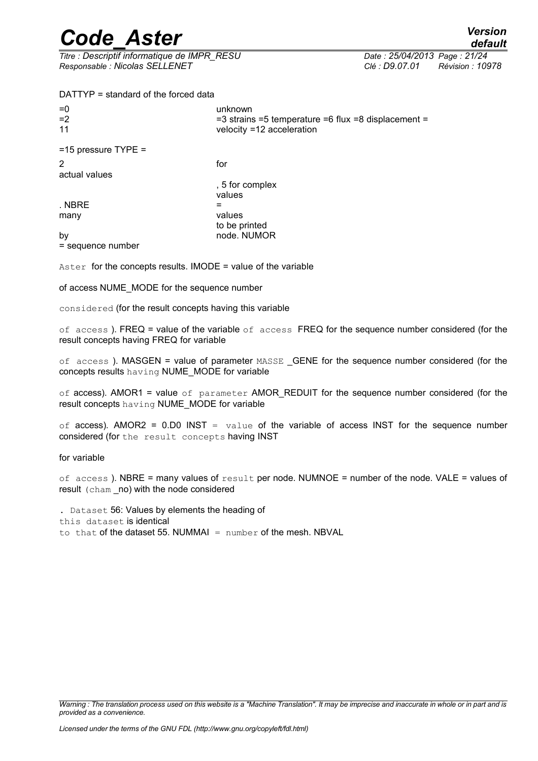*Titre : Descriptif informatique de IMPR\_RESU Date : 25/04/2013 Page : 21/24 Responsable : Nicolas SELLENET Clé : D9.07.01 Révision : 10978*

DATTYP = standard of the forced data

| $= 0$<br>$=2$<br>11 | unknown<br>$=$ 3 strains $=$ 5 temperature $=$ 6 flux $=$ 8 displacement $=$<br>velocity =12 acceleration |
|---------------------|-----------------------------------------------------------------------------------------------------------|
| =15 pressure TYPE = |                                                                                                           |
| actual values       | for                                                                                                       |
|                     |                                                                                                           |

 $\blacksquare$  NBRE  $\blacksquare$ 

, 5 for complex values many values to be printed by **by** node. NUMOR

= sequence number

Aster for the concepts results. IMODE = value of the variable

of access NUME\_MODE for the sequence number

considered (for the result concepts having this variable

of access). FREQ = value of the variable of access FREQ for the sequence number considered (for the result concepts having FREQ for variable

of access ). MASGEN = value of parameter MASSE \_GENE for the sequence number considered (for the concepts results having NUME\_MODE for variable

of access). AMOR1 = value of parameter AMOR\_REDUIT for the sequence number considered (for the result concepts having NUME\_MODE for variable

of access). AMOR2 =  $0.00$  INST = value of the variable of access INST for the sequence number considered (for the result concepts having INST

for variable

of access). NBRE = many values of  $result$  per node. NUMNOE = number of the node. VALE = values of result (cham \_no) with the node considered

. Dataset 56: Values by elements the heading of this dataset is identical to that of the dataset 55. NUMMAI =  $number$  of the mesh. NBVAL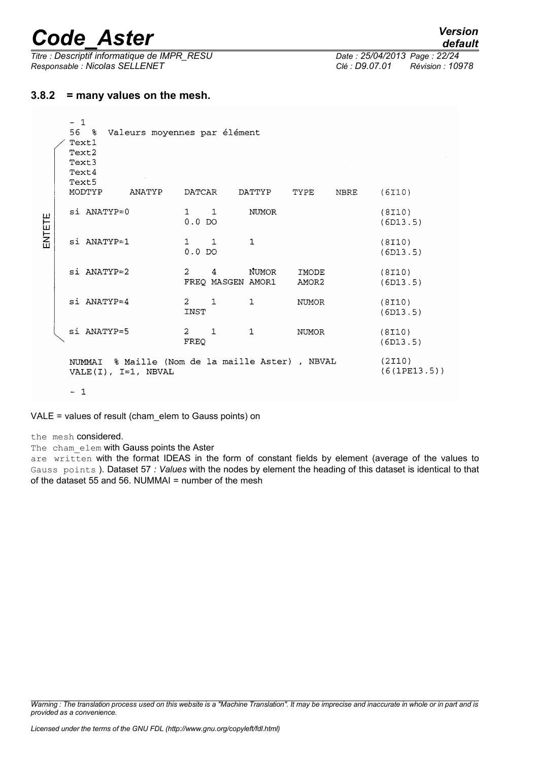*Titre : Descriptif informatique de IMPR\_RESU Date : 25/04/2013 Page : 22/24 Responsable : Nicolas SELLENET Clé : D9.07.01 Révision : 10978*

#### **3.8.2 = many values on the mesh.**

|        |                                                                          | $-1$<br>56 %<br>Text1<br>Text2<br>Text3<br>Text4<br>Text5<br>MODTYP | ANATYP | Valeurs moyennes par élément<br>DATCAR<br>TYPE<br>DATTYP |              |                            |                | NBRE                   | (6I10)             |
|--------|--------------------------------------------------------------------------|---------------------------------------------------------------------|--------|----------------------------------------------------------|--------------|----------------------------|----------------|------------------------|--------------------|
| ENTETE |                                                                          | $si$ ANATYP= $0$                                                    |        | $1 \quad \blacksquare$<br>$0.0$ DO                       | $\mathbf{1}$ | <b>NUMOR</b>               |                |                        | (8I10)<br>(6D13.5) |
|        |                                                                          | si ANATYP=1                                                         |        | $\mathbf{1}$<br>$0.0$ DO                                 | 1            | $\mathbf{1}$               |                |                        | (8I10)<br>(6D13.5) |
|        |                                                                          | si ANATYP=2                                                         |        | $\overline{2}$                                           | 4            | NUMOR<br>FREQ MASGEN AMOR1 | IMODE<br>AMOR2 |                        | (8I10)<br>(6D13.5) |
|        |                                                                          | si ANATYP=4                                                         |        | $2 \quad 1$<br>INST                                      |              | $\mathbf{1}$               | <b>NUMOR</b>   |                        | (8I10)<br>(6D13.5) |
|        |                                                                          | si ANATYP=5                                                         |        | $\overline{2}$<br>FREQ                                   | $\mathbf{1}$ | $\mathbf{1}$               | <b>NUMOR</b>   |                        | (8I10)<br>(6D13.5) |
|        | NUMMAI & Maille (Nom de la maille Aster), NBVAL<br>$VALE(I), I=1, NBVAL$ |                                                                     |        |                                                          |              |                            |                | (2I10)<br>(6(1PE13.5)) |                    |

 $-1$ 

VALE = values of result (cham\_elem to Gauss points) on

the mesh considered.

The cham elem with Gauss points the Aster

are written with the format IDEAS in the form of constant fields by element (average of the values to Gauss points ). Dataset 57 *: Values* with the nodes by element the heading of this dataset is identical to that of the dataset 55 and 56. NUMMAI = number of the mesh

*Warning : The translation process used on this website is a "Machine Translation". It may be imprecise and inaccurate in whole or in part and is provided as a convenience.*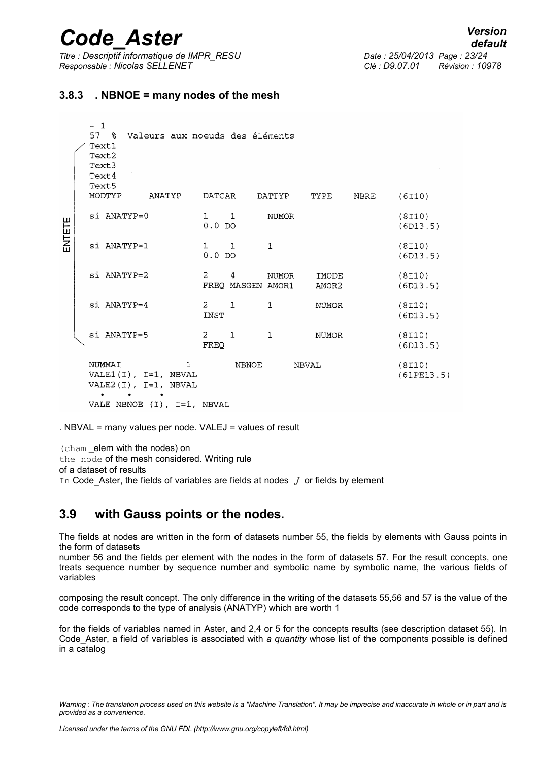*Titre : Descriptif informatique de IMPR\_RESU Date : 25/04/2013 Page : 23/24 Responsable : Nicolas SELLENET Clé : D9.07.01 Révision : 10978*

 $\lambda$ 

#### **3.8.3 . NBNOE = many nodes of the mesh**

|        | $-1$<br>578<br>Text1<br>Text2<br>Text3<br>Text4<br>Text5 |               | Valeurs aux noeuds des éléments                                      |                          |                        |              |                |      |                     |
|--------|----------------------------------------------------------|---------------|----------------------------------------------------------------------|--------------------------|------------------------|--------------|----------------|------|---------------------|
|        |                                                          | MODTYP        | ANATYP                                                               | DATCAR                   |                        | DATTYP       | TYPE           | NBRE | (6I10)              |
| ENTETE |                                                          | si ANATYP=0   |                                                                      | $1 \quad 1$<br>$0.0$ DO  |                        | <b>NUMOR</b> |                |      | (8I10)<br>(6D13.5)  |
|        |                                                          | si ANATYP=1   |                                                                      | $\mathbf{1}$<br>$0.0$ DO | $\mathbf{1}$           | $\mathbf{1}$ |                |      | (8I10)<br>(6D13.5)  |
|        |                                                          | si ANATYP=2   |                                                                      | $\overline{2}$           | 4<br>FREO MASGEN AMOR1 | NUMOR        | IMODE<br>AMOR2 |      | (8I10)<br>(6D13.5)  |
|        |                                                          | $si$ ANATYP=4 |                                                                      | $2 \quad 1$<br>INST      |                        | $\mathbf{1}$ | <b>NUMOR</b>   |      | (8I10)<br>(6D13.5)  |
|        |                                                          | si ANATYP=5   |                                                                      | $2 \quad 1$<br>FREQ      |                        | $\mathbf{1}$ | <b>NUMOR</b>   |      | (8110)<br>(6D13.5)  |
|        |                                                          | NUMMAI        | $\mathbf{1}$<br>VALE1 $(I)$ , I=1, NBVAL<br>VALE2 $(I)$ , I=1, NBVAL |                          | <b>NBNOE</b>           |              | <b>NBVAL</b>   |      | (8I10)<br>(61PE13.5 |
|        |                                                          |               | VALE NBNOE $(1)$ , I=1, NBVAL                                        |                          |                        |              |                |      |                     |

. NBVAL = many values per node. VALEJ = values of result

(cham \_elem with the nodes) on the node of the mesh considered. Writing rule of a dataset of results

In Code Aster, the fields of variables are fields at nodes *J* or fields by element

### **3.9 with Gauss points or the nodes.**

The fields at nodes are written in the form of datasets number 55, the fields by elements with Gauss points in the form of datasets

number 56 and the fields per element with the nodes in the form of datasets 57. For the result concepts, one treats sequence number by sequence number and symbolic name by symbolic name, the various fields of variables

composing the result concept. The only difference in the writing of the datasets 55,56 and 57 is the value of the code corresponds to the type of analysis (ANATYP) which are worth 1

for the fields of variables named in Aster, and 2,4 or 5 for the concepts results (see description dataset 55). In Code\_Aster, a field of variables is associated with *a quantity* whose list of the components possible is defined in a catalog

*Warning : The translation process used on this website is a "Machine Translation". It may be imprecise and inaccurate in whole or in part and is provided as a convenience.*